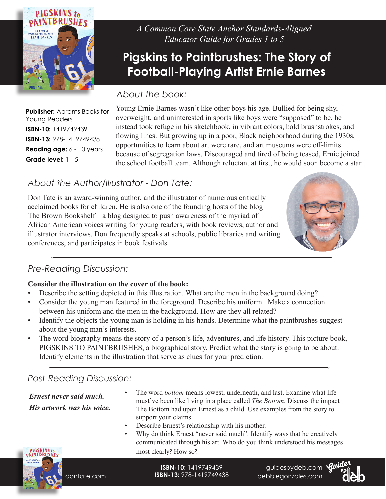

*A Common Core State Anchor Standards-Aligned Educator Guide for Grades 1 to 5*

# **Pigskins to Paintbrushes: The Story of Football-Playing Artist Ernie Barnes**

### *About the book:*

**Publisher:** Abrams Books for Young Readers **ISBN-10:** 1419749439 **ISBN-13:** 978-1419749438 **Reading age:** 6 - 10 years **Grade level:** 1 - 5

Young Ernie Barnes wasn't like other boys his age. Bullied for being shy, overweight, and uninterested in sports like boys were "supposed" to be, he instead took refuge in his sketchbook, in vibrant colors, bold brushstrokes, and flowing lines. But growing up in a poor, Black neighborhood during the 1930s, opportunities to learn about art were rare, and art museums were off-limits because of segregation laws. Discouraged and tired of being teased, Ernie joined the school football team. Although reluctant at first, he would soon become a star.

## About *ihe Author/Illustrator - Don Tate:*

Don Tate is an award-winning author, and the illustrator of numerous critically acclaimed books for children. He is also one of the founding hosts of the blog The Brown Bookshelf – a blog designed to push awareness of the myriad of African American voices writing for young readers, with book reviews, author and illustrator interviews. Don frequently speaks at schools, public libraries and writing conferences, and participates in book festivals.



## *Pre-Reading Discussion:*

### **Consider the illustration on the cover of the book:**

- Describe the setting depicted in this illustration. What are the men in the background doing?
- Consider the young man featured in the foreground. Describe his uniform. Make a connection between his uniform and the men in the background. How are they all related?
- Identify the objects the young man is holding in his hands. Determine what the paintbrushes suggest about the young man's interests.
- The word biography means the story of a person's life, adventures, and life history. This picture book, PIGSKINS TO PAINTBRUSHES, a biographical story. Predict what the story is going to be about. Identify elements in the illustration that serve as clues for your prediction.

## *Post-Reading Discussion:*

*Ernest never said much. His artwork was his voice.* 

- The word *bottom* means lowest, underneath, and last. Examine what life must've been like living in a place called *The Bottom*. Discuss the impact The Bottom had upon Ernest as a child. Use examples from the story to support your claims.
- Describe Ernest's relationship with his mother.
- Why do think Ernest "never said much". Identify ways that he creatively communicated through his art. Who do you think understood his messages most clearly? How so?



dontate.com

**ISBN-10:** 1419749439 **ISBN-13:** 978-1419749438

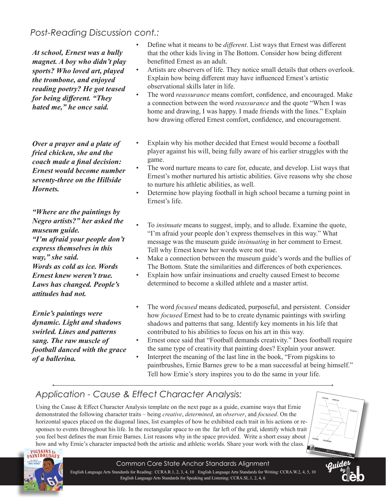## **Post-Reading Discussion cont.:**

*At school, Ernest was a bully magnet. A boy who didn't play sports? Who loved art, played the trombone, and enjoyed reading poetry? He got teased for being different. "They hated me," he once said.*

*Over a prayer and a plate of fried chicken, she and the coach made a final decision: Ernest would become number seventy-three on the Hillside Hornets.*

*"Where are the paintings by Negro artists?" her asked the museum guide. "I'm afraid your people don't express themselves in this way," she said. Words as cold as ice. Words Ernest knew weren't true. Laws has changed. People's attitudes had not.* 

*Ernie's paintings were dynamic. Light and shadows swirled. Lines and patterns sang. The raw muscle of football danced with the grace of a ballerina.* 

- Define what it means to be *different*. List ways that Ernest was different that the other kids living in The Bottom. Consider how being different benefitted Ernest as an adult.
- Artists are observers of life. They notice small details that others overlook. Explain how being different may have influenced Ernest's artistic observational skills later in life.
- The word *reassurance* means comfort, confidence, and encouraged. Make a connection between the word *reassurance* and the quote "When I was home and drawing, I was happy. I made friends with the lines." Explain how drawing offered Ernest comfort, confidence, and encouragement.
- Explain why his mother decided that Ernest would become a football player against his will, being fully aware of his earlier struggles with the game.
- The word nurture means to care for, educate, and develop. List ways that Ernest's mother nurtured his artistic abilities. Give reasons why she chose to nurture his athletic abilities, as well.
- Determine how playing football in high school became a turning point in Ernest's life.
- To *insinuate* means to suggest, imply, and to allude. Examine the quote, "I'm afraid your people don't express themselves in this way." What message was the museum guide *insinuating* in her comment to Ernest. Tell why Ernest knew her words were not true.
- Make a connection between the museum guide's words and the bullies of The Bottom. State the similarities and differences of both experiences.
- Explain how unfair insinuations and cruelty caused Ernest to become determined to become a skilled athlete and a master artist.
- The word *focused* means dedicated, purposeful, and persistent. Consider how *focused* Ernest had to be to create dynamic paintings with swirling shadows and patterns that sang. Identify key moments in his life that contributed to his abilities to focus on his art in this way.
- Ernest once said that "Football demands creativity." Does football require the same type of creativity that painting does? Explain your answer.
- Interpret the meaning of the last line in the book, "From pigskins to paintbrushes, Ernie Barnes grew to be a man successful at being himself." Tell how Ernie's story inspires you to do the same in your life.

## *Application - Cause & Effect Character Analysis:*

Using the Cause & Effect Character Analysis template on the next page as a guide, examine ways that Ernie demonstrated the following character traits – being *creative*, *determined*, an *observer*, and *focused*. On the horizontal spaces placed on the diagonal lines, list examples of how he exhibited each trait in his actions or responses to events throughout his life. In the rectangular space to on the far left of the grid, identify which trait you feel best defines the man Ernie Barnes. List reasons why in the space provided. Write a short essay about how and why Ernie's character impacted both the artistic and athletic worlds. Share your work with the class.<br>
PRIGSKINS to<br>
PAINTBRUSHES





#### Common Core State Anchor Standards Alignment

English Language Arts Standards for Reading: CCRA.R.1, 2, 3, 4, 10 English Language Arts Standards for Writing: CCRA.W.2, 4, 5, 10 English Language Arts Standards for Speaking and Listening: CCRA.SL.1, 2, 4, 6